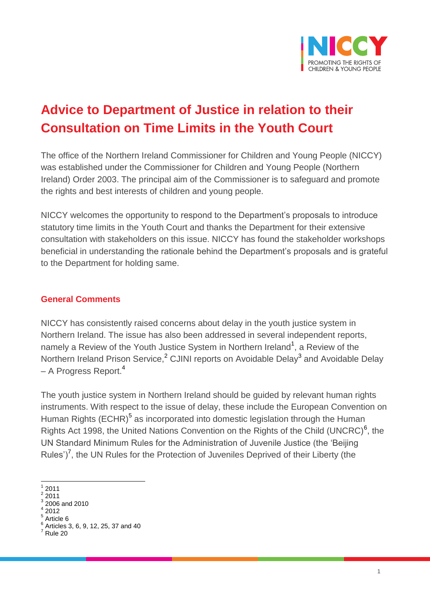

# **Advice to Department of Justice in relation to their Consultation on Time Limits in the Youth Court**

The office of the Northern Ireland Commissioner for Children and Young People (NICCY) was established under the Commissioner for Children and Young People (Northern Ireland) Order 2003. The principal aim of the Commissioner is to safeguard and promote the rights and best interests of children and young people.

NICCY welcomes the opportunity to respond to the Department's proposals to introduce statutory time limits in the Youth Court and thanks the Department for their extensive consultation with stakeholders on this issue. NICCY has found the stakeholder workshops beneficial in understanding the rationale behind the Department's proposals and is grateful to the Department for holding same.

#### **General Comments**

NICCY has consistently raised concerns about delay in the youth justice system in Northern Ireland. The issue has also been addressed in several independent reports, namely a Review of the Youth Justice System in Northern Ireland<sup>1</sup>, a Review of the Northern Ireland Prison Service,<sup>2</sup> CJINI reports on Avoidable Delay<sup>3</sup> and Avoidable Delay – A Progress Report.<sup>4</sup>

The youth justice system in Northern Ireland should be guided by relevant human rights instruments. With respect to the issue of delay, these include the European Convention on Human Rights (ECHR)<sup>5</sup> as incorporated into domestic legislation through the Human Rights Act 1998, the United Nations Convention on the Rights of the Child (UNCRC)<sup>6</sup>, the UN Standard Minimum Rules for the Administration of Juvenile Justice (the 'Beijing Rules')<sup>7</sup>, the UN Rules for the Protection of Juveniles Deprived of their Liberty (the

 $\overline{a}$ 1 2011

 $\frac{2}{3}$  2011

<sup>2006</sup> and 2010

 $\frac{4}{5}$  2012

Article 6 6 Articles 3, 6, 9, 12, 25, 37 and 40

Rule 20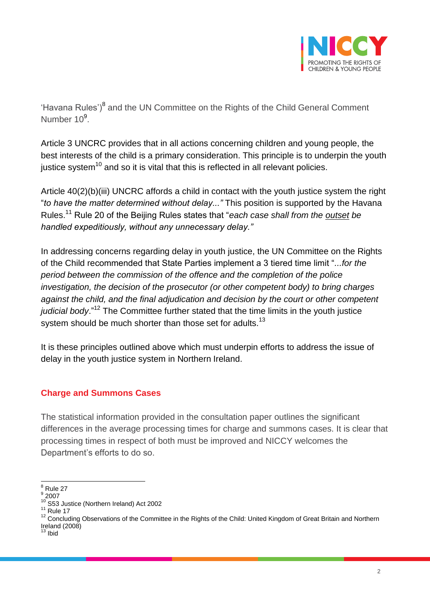

'Havana Rules')<sup>8</sup> and the UN Committee on the Rights of the Child General Comment Number 10<sup>9</sup>.

Article 3 UNCRC provides that in all actions concerning children and young people, the best interests of the child is a primary consideration. This principle is to underpin the youth justice system<sup>10</sup> and so it is vital that this is reflected in all relevant policies.

Article 40(2)(b)(iii) UNCRC affords a child in contact with the youth justice system the right "*to have the matter determined without delay..."* This position is supported by the Havana Rules.<sup>11</sup> Rule 20 of the Beijing Rules states that "*each case shall from the outset be handled expeditiously, without any unnecessary delay."*

In addressing concerns regarding delay in youth justice, the UN Committee on the Rights of the Child recommended that State Parties implement a 3 tiered time limit "*...for the period between the commission of the offence and the completion of the police investigation, the decision of the prosecutor (or other competent body) to bring charges against the child, and the final adjudication and decision by the court or other competent judicial body*."<sup>12</sup> The Committee further stated that the time limits in the youth justice system should be much shorter than those set for adults.<sup>13</sup>

It is these principles outlined above which must underpin efforts to address the issue of delay in the youth justice system in Northern Ireland.

# **Charge and Summons Cases**

The statistical information provided in the consultation paper outlines the significant differences in the average processing times for charge and summons cases. It is clear that processing times in respect of both must be improved and NICCY welcomes the Department's efforts to do so.

 $\overline{\phantom{a}}$  $\degree$  Rule 27

 $\degree$  2007

<sup>&</sup>lt;sup>10</sup> S53 Justice (Northern Ireland) Act 2002

 $11$  Rule 17

<sup>&</sup>lt;sup>12</sup> Concluding Observations of the Committee in the Rights of the Child: United Kingdom of Great Britain and Northern Ireland (2008)

<sup>&</sup>lt;sup>13</sup> Ibid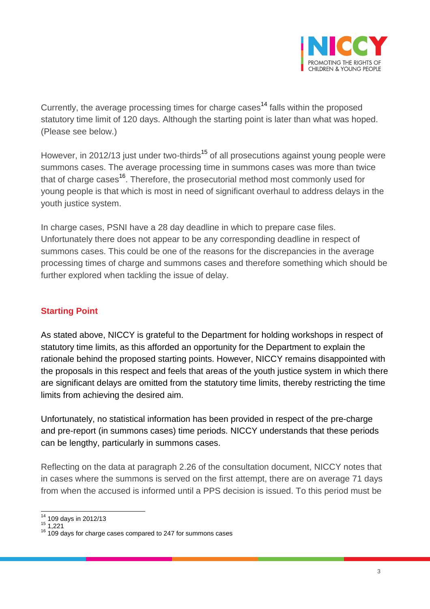

Currently, the average processing times for charge cases<sup>14</sup> falls within the proposed statutory time limit of 120 days. Although the starting point is later than what was hoped. (Please see below.)

However, in 2012/13 just under two-thirds<sup>15</sup> of all prosecutions against young people were summons cases. The average processing time in summons cases was more than twice that of charge cases<sup>16</sup>. Therefore, the prosecutorial method most commonly used for young people is that which is most in need of significant overhaul to address delays in the youth justice system.

In charge cases, PSNI have a 28 day deadline in which to prepare case files. Unfortunately there does not appear to be any corresponding deadline in respect of summons cases. This could be one of the reasons for the discrepancies in the average processing times of charge and summons cases and therefore something which should be further explored when tackling the issue of delay.

# **Starting Point**

As stated above, NICCY is grateful to the Department for holding workshops in respect of statutory time limits, as this afforded an opportunity for the Department to explain the rationale behind the proposed starting points. However, NICCY remains disappointed with the proposals in this respect and feels that areas of the youth justice system in which there are significant delays are omitted from the statutory time limits, thereby restricting the time limits from achieving the desired aim.

Unfortunately, no statistical information has been provided in respect of the pre-charge and pre-report (in summons cases) time periods. NICCY understands that these periods can be lengthy, particularly in summons cases.

Reflecting on the data at paragraph 2.26 of the consultation document, NICCY notes that in cases where the summons is served on the first attempt, there are on average 71 days from when the accused is informed until a PPS decision is issued. To this period must be

 $\overline{a}$  $^{14}_{12}$  109 days in 2012/13

 $15 \overline{)1,221}$ 

<sup>&</sup>lt;sup>16</sup> 109 days for charge cases compared to 247 for summons cases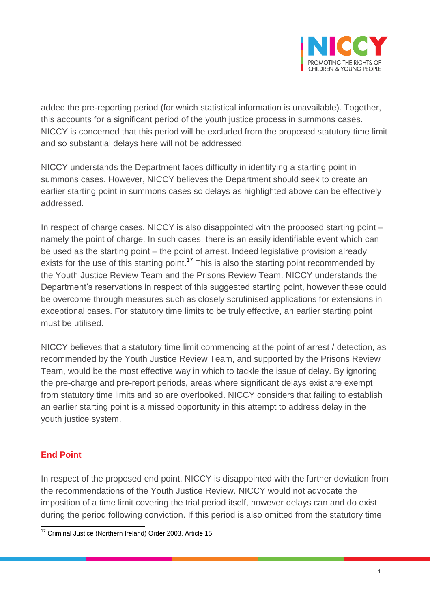

added the pre-reporting period (for which statistical information is unavailable). Together, this accounts for a significant period of the youth justice process in summons cases. NICCY is concerned that this period will be excluded from the proposed statutory time limit and so substantial delays here will not be addressed.

NICCY understands the Department faces difficulty in identifying a starting point in summons cases. However, NICCY believes the Department should seek to create an earlier starting point in summons cases so delays as highlighted above can be effectively addressed.

In respect of charge cases, NICCY is also disappointed with the proposed starting point – namely the point of charge. In such cases, there is an easily identifiable event which can be used as the starting point – the point of arrest. Indeed legislative provision already exists for the use of this starting point.<sup>17</sup> This is also the starting point recommended by the Youth Justice Review Team and the Prisons Review Team. NICCY understands the Department's reservations in respect of this suggested starting point, however these could be overcome through measures such as closely scrutinised applications for extensions in exceptional cases. For statutory time limits to be truly effective, an earlier starting point must be utilised.

NICCY believes that a statutory time limit commencing at the point of arrest / detection, as recommended by the Youth Justice Review Team, and supported by the Prisons Review Team, would be the most effective way in which to tackle the issue of delay. By ignoring the pre-charge and pre-report periods, areas where significant delays exist are exempt from statutory time limits and so are overlooked. NICCY considers that failing to establish an earlier starting point is a missed opportunity in this attempt to address delay in the youth justice system.

## **End Point**

In respect of the proposed end point, NICCY is disappointed with the further deviation from the recommendations of the Youth Justice Review. NICCY would not advocate the imposition of a time limit covering the trial period itself, however delays can and do exist during the period following conviction. If this period is also omitted from the statutory time

 $\overline{a}$ <sup>17</sup> Criminal Justice (Northern Ireland) Order 2003, Article 15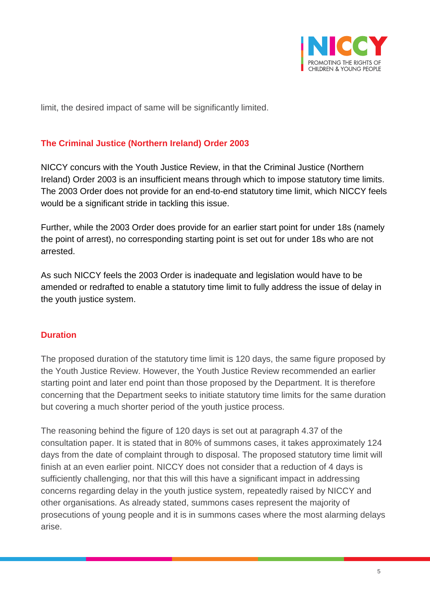

limit, the desired impact of same will be significantly limited.

## **The Criminal Justice (Northern Ireland) Order 2003**

NICCY concurs with the Youth Justice Review, in that the Criminal Justice (Northern Ireland) Order 2003 is an insufficient means through which to impose statutory time limits. The 2003 Order does not provide for an end-to-end statutory time limit, which NICCY feels would be a significant stride in tackling this issue.

Further, while the 2003 Order does provide for an earlier start point for under 18s (namely the point of arrest), no corresponding starting point is set out for under 18s who are not arrested.

As such NICCY feels the 2003 Order is inadequate and legislation would have to be amended or redrafted to enable a statutory time limit to fully address the issue of delay in the youth justice system.

## **Duration**

The proposed duration of the statutory time limit is 120 days, the same figure proposed by the Youth Justice Review. However, the Youth Justice Review recommended an earlier starting point and later end point than those proposed by the Department. It is therefore concerning that the Department seeks to initiate statutory time limits for the same duration but covering a much shorter period of the youth justice process.

The reasoning behind the figure of 120 days is set out at paragraph 4.37 of the consultation paper. It is stated that in 80% of summons cases, it takes approximately 124 days from the date of complaint through to disposal. The proposed statutory time limit will finish at an even earlier point. NICCY does not consider that a reduction of 4 days is sufficiently challenging, nor that this will this have a significant impact in addressing concerns regarding delay in the youth justice system, repeatedly raised by NICCY and other organisations. As already stated, summons cases represent the majority of prosecutions of young people and it is in summons cases where the most alarming delays arise.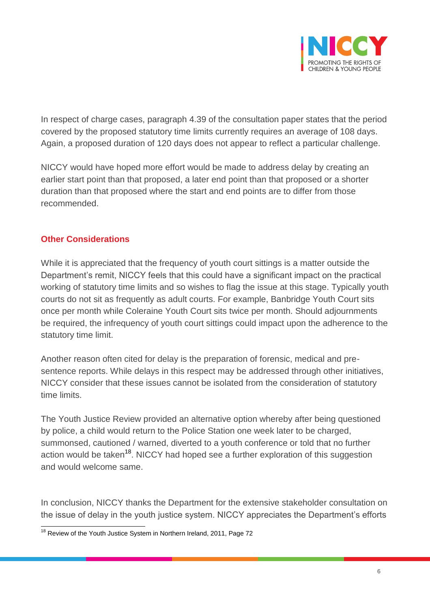

In respect of charge cases, paragraph 4.39 of the consultation paper states that the period covered by the proposed statutory time limits currently requires an average of 108 days. Again, a proposed duration of 120 days does not appear to reflect a particular challenge.

NICCY would have hoped more effort would be made to address delay by creating an earlier start point than that proposed, a later end point than that proposed or a shorter duration than that proposed where the start and end points are to differ from those recommended.

#### **Other Considerations**

While it is appreciated that the frequency of youth court sittings is a matter outside the Department's remit, NICCY feels that this could have a significant impact on the practical working of statutory time limits and so wishes to flag the issue at this stage. Typically youth courts do not sit as frequently as adult courts. For example, Banbridge Youth Court sits once per month while Coleraine Youth Court sits twice per month. Should adjournments be required, the infrequency of youth court sittings could impact upon the adherence to the statutory time limit.

Another reason often cited for delay is the preparation of forensic, medical and presentence reports. While delays in this respect may be addressed through other initiatives, NICCY consider that these issues cannot be isolated from the consideration of statutory time limits.

The Youth Justice Review provided an alternative option whereby after being questioned by police, a child would return to the Police Station one week later to be charged, summonsed, cautioned / warned, diverted to a youth conference or told that no further action would be taken<sup>18</sup>. NICCY had hoped see a further exploration of this suggestion and would welcome same.

In conclusion, NICCY thanks the Department for the extensive stakeholder consultation on the issue of delay in the youth justice system. NICCY appreciates the Department's efforts

 $\overline{a}$  $18$  Review of the Youth Justice System in Northern Ireland, 2011, Page 72